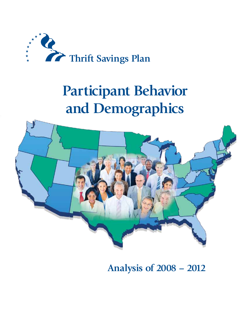

# **Participant Behavior and Demographics**



**Analysis of 2008 – 2012**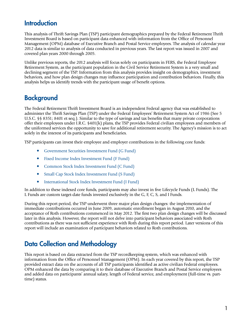#### **Introduction**

This analysis of Thrift Savings Plan (TSP) participant demographics prepared by the Federal Retirement Thrift Investment Board is based on participant data enhanced with information from the Office of Personnel Management (OPM) database of Executive Branch and Postal Service employees. The analysis of calendar year 2012 data is similar to analysis of data conducted in previous years. The last report was issued in 2007 and covered plan years 2000 through 2005.

Unlike previous reports, the 2012 analysis will focus solely on participants in FERS, the Federal Employee Retirement System, as the participant population in the Civil Service Retirement System is a very small and declining segment of the TSP. Information from this analysis provides insight on demographics, investment behaviors, and how plan design changes may influence participation and contribution behaviors. Finally, this analysis helps us identify trends with the participant usage of benefit options.

### **Background**

The Federal Retirement Thrift Investment Board is an independent Federal agency that was established to administer the Thrift Savings Plan (TSP) under the Federal Employees' Retirement System Act of 1986 (See 5 U.S.C. §§ 8351; 8401 et seq.). Similar to the type of savings and tax benefits that many private corporations offer their employees under I.R.C. §401(k) plans, the TSP provides Federal civilian employees and members of the uniformed services the opportunity to save for additional retirement security. The Agency's mission is to act solely in the interest of its participants and beneficiaries.

TSP participants can invest their employee and employer contributions in the following core funds:

- Government Securities Investment Fund (G Fund)
- Fixed Income Index Investment Fund (F Fund)
- Common Stock Index Investment Fund (C Fund)
- Small Cap Stock Index Investment Fund (S Fund)
- International Stock Index Investment Fund (I Fund)

In addition to these indexed core funds, participants may also invest in five Lifecycle Funds (L Funds). The L Funds are custom target-date funds invested exclusively in the G, F, C, S, and I Funds.

During this report period, the TSP underwent three major plan design changes: the implementation of immediate contributions occurred in June 2009, automatic enrollment began in August 2010, and the acceptance of Roth contributions commenced in May 2012. The first two plan design changes will be discussed later in this analysis. However, the report will not delve into participant behaviors associated with Roth contributions as there was not sufficient experience with Roth during this report period. Later versions of this report will include an examination of participant behaviors related to Roth contributions.

### Data Collection and Methodology

This report is based on data extracted from the TSP recordkeeping system, which was enhanced with information from the Office of Personnel Management (OPM). In each year covered by this report, the TSP provided extract data on the accounts of all TSP participants identified as active civilian Federal employees. OPM enhanced the data by comparing it to their database of Executive Branch and Postal Service employees and added data on participants' annual salary, length of Federal service, and employment (full-time vs. parttime) status.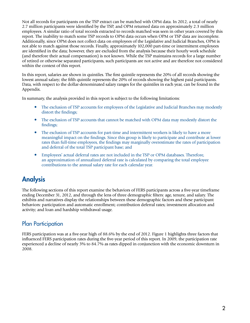Not all records for participants on the TSP extract can be matched with OPM data. In 2012, a total of nearly 2.7 million participants were identified by the TSP, and OPM returned data on approximately 2.3 million employees. A similar ratio of total records extracted to records matched was seen in other years covered by this report. The inability to match some TSP records to OPM data occurs when OPM or TSP data are incomplete. Additionally, since OPM does not collect data on employees of the Legislative and Judicial Branches, OPM is not able to match against those records. Finally, approximately 102,000 part-time or intermittent employees are identified in the data; however, they are excluded from the analysis because their hourly work schedule (and therefore their actual compensation) is not known. While the TSP maintains records for a large number of retired or otherwise separated participants, such participants are not active and are therefore not considered within the context of this report.

In this report, salaries are shown in quintiles. The first quintile represents the 20% of all records showing the lowest annual salary; the fifth quintile represents the 20% of records showing the highest paid participants. Data, with respect to the dollar-denominated salary ranges for the quintiles in each year, can be found in the Appendix.

In summary, the analysis provided in this report is subject to the following limitations:

- The exclusion of TSP accounts for employees of the Legislative and Judicial Branches may modestly distort the findings;
- The exclusion of TSP accounts that cannot be matched with OPM data may modestly distort the findings;
- The exclusion of TSP accounts for part-time and intermittent workers is likely to have a more meaningful impact on the findings. Since this group is likely to participate and contribute at lower rates than full-time employees, the findings may marginally overestimate the rates of participation and deferral of the total TSP participant base; and
- Employees' actual deferral rates are not included in the TSP or OPM databases. Therefore, an approximation of annualized deferral rate is calculated by comparing the total employee contributions to the annual salary rate for each calendar year.

## **Analysis**

The following sections of this report examine the behaviors of FERS participants across a five-year timeframe ending December 31, 2012, and through the lens of three demographic filters: age, tenure, and salary. The exhibits and narratives display the relationships between these demographic factors and these participant behaviors: participation and automatic enrollment; contribution deferral rates; investment allocation and activity; and loan and hardship withdrawal usage.

#### Plan Participation

FERS participation was at a five-year high of 88.6% by the end of 2012. Figure 1 highlights three factors that influenced FERS participation rates during the five-year period of this report. In 2009, the participation rate experienced a decline of nearly 3% to 84.7% as rates dipped in conjunction with the economic downturn in 2008.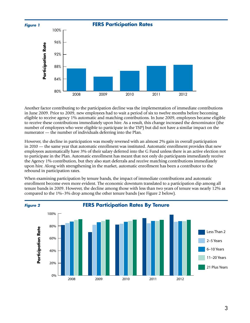

Another factor contributing to the participation decline was the implementation of immediate contributions in June 2009. Prior to 2009, new employees had to wait a period of six to twelve months before becoming eligible to receive agency 1% automatic and matching contributions. In June 2009, employees became eligible to receive these contributions immediately upon hire. As a result, this change increased the denominator (the number of employees who were eligible to participate in the TSP) but did not have a similar impact on the numerator — the number of individuals deferring into the Plan.

However, the decline in participation was mostly reversed with an almost 2% gain in overall participation in 2010 — the same year that automatic enrollment was instituted. Automatic enrollment provides that new employees automatically have 3% of their salary deferred into the G Fund unless there is an active election not to participate in the Plan. Automatic enrollment has meant that not only do participants immediately receive the Agency 1% contribution, but they also start deferrals and receive matching contributions immediately upon hire. Along with strengthening in the market, automatic enrollment has been a contributor to the rebound in participation rates.

When examining participation by tenure bands, the impact of immediate contributions and automatic enrollment become even more evident. The economic downturn translated to a participation dip among all tenure bands in 2009. However, the decline among those with less than two years of tenure was nearly 12% as compared to the 1%–3% drop among the other tenure bands (see Figure 2 below).

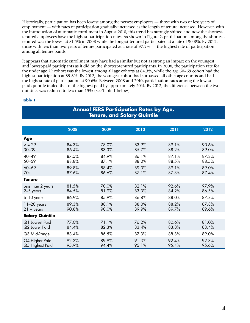Historically, participation has been lowest among the newest employees — those with two or less years of employment — with rates of participation gradually increased as the length of tenure increased. However, with the introduction of automatic enrollment in August 2010, this trend has strongly shifted and now the shortesttenured employees have the highest participation rates. As shown in Figure 2, participation among the shortesttenured was the lowest at 81.5% in 2008 while the longest-tenured participated at a rate of 90.8%. By 2012, those with less than two-years of tenure participated at a rate of 97.9% — the highest rate of participation among all tenure bands.

It appears that automatic enrollment may have had a similar but not as strong an impact on the youngest and lowest-paid participants as it did on the shortest-tenured participants. In 2008, the participation rate for the under age 29 cohort was the lowest among all age cohorts at 84.3%, while the age 60–69 cohort had the highest participation at 89.8%. By 2012, the youngest cohort had surpassed all other age cohorts and had the highest rate of participation at 90.6%. Between 2008 and 2010, participation rates among the lowestpaid quintile trailed that of the highest paid by approximately 20%. By 2012, the difference between the two quintiles was reduced to less than 15% (see Table 1 below).

#### **Table 1**

|                                   |                | <b>Annual FERS Participation Rates by Age,</b><br><b>Tenure, and Salary Quintile</b> |                |                |                |
|-----------------------------------|----------------|--------------------------------------------------------------------------------------|----------------|----------------|----------------|
|                                   |                |                                                                                      |                |                |                |
|                                   | 2008           | 2009                                                                                 | 2010           | 2011           | 2012           |
| <b>Age</b>                        |                |                                                                                      |                |                |                |
| $= 29$<br>$30 - 39$               | 84.3%<br>86.4% | 78.0%<br>83.3%                                                                       | 83.9%<br>85.7% | 89.1%<br>88.2% | 90.6%<br>89.0% |
| $40 - 49$<br>50-59                | 87.5%<br>88.8% | 84.9%<br>87.1%                                                                       | 86.1%<br>88.0% | 87.1%<br>88.5% | 87.3%<br>88.5% |
| 60-69<br>$70+$                    | 89.8%<br>87.6% | 88.4%<br>86.6%                                                                       | 89.0%<br>87.1% | 89.1%<br>87.3% | 89.0%<br>87.4% |
| <b>Tenure</b>                     |                |                                                                                      |                |                |                |
| Less than 2 years<br>$2-5$ years  | 81.5%<br>84.5% | 70.0%<br>81.9%                                                                       | 82.1%<br>83.3% | 92.6%<br>84.2% | 97.9%<br>86.5% |
| 6-10 years                        | 86.9%          | 85.9%                                                                                | 86.8%          | 88.0%          | 87.8%          |
| $11-20$ years<br>$21 + years$     | 89.3%<br>90.8% | 88.1%<br>90.0%                                                                       | 88.0%<br>89.9% | 88.2%<br>89.7% | 87.8%<br>89.6% |
| <b>Salary Quintile</b>            |                |                                                                                      |                |                |                |
| Q1 Lowest Paid<br>Q2 Lower Paid   | 77.0%<br>84.4% | 71.1%<br>82.3%                                                                       | 76.2%<br>83.4% | 80.6%<br>83.8% | 81.0%<br>83.4% |
| Q3 Mid-Range                      | 88.4%          | 86.5%                                                                                | 87.3%          | 88.3%          | 89.0%          |
| Q4 Higher Paid<br>Q5 Highest Paid | 92.2%<br>95.9% | 89.9%<br>94.4%                                                                       | 91.3%<br>95.1% | 92.4%<br>95.4% | 92.8%<br>95.6% |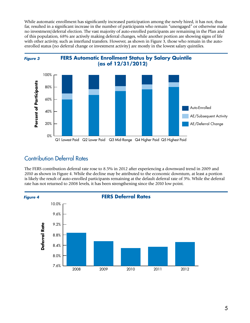While automatic enrollment has significantly increased participation among the newly hired, it has not, thus far, resulted in a significant increase in the number of participants who remain "unengaged" or otherwise make no investment/deferral election. The vast majority of auto-enrolled participants are remaining in the Plan and of this population, 68% are actively making deferral changes, while another portion are showing signs of life with other activity, such as interfund transfers. However, as shown in Figure 3, those who remain in the autoenrolled status (no deferral change or investment activity) are mostly in the lowest salary quintiles.





#### Contribution Deferral Rates

The FERS contribution deferral rate rose to 8.5% in 2012 after experiencing a downward trend in 2009 and 2010 as shown in Figure 4. While the decline may be attributed to the economic downturn, at least a portion is likely the result of auto-enrolled participants remaining at the default deferral rate of 3%. While the deferral rate has not returned to 2008 levels, it has been strengthening since the 2010 low point.

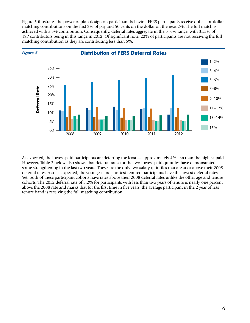Figure 5 illustrates the power of plan design on participant behavior. FERS participants receive dollar-for-dollar matching contributions on the first 3% of pay and 50 cents on the dollar on the next 2%. The full match is achieved with a 5% contribution. Consequently, deferral rates aggregate in the 5–6% range, with 31.5% of TSP contributors being in this range in 2012. Of significant note, 22% of participants are not receiving the full matching contribution as they are contributing less than 5%.



As expected, the lowest-paid participants are deferring the least — approximately 4% less than the highest paid. However, Table 2 below also shows that deferral rates for the two lowest-paid quintiles have demonstrated some strengthening in the last two years. These are the only two salary quintiles that are at or above their 2008 deferral rates. Also as expected, the youngest and shortest-tenured participants have the lowest deferral rates. Yet, both of these participant cohorts have rates above their 2008 deferral rates unlike the other age and tenure cohorts. The 2012 deferral rate of 5.2% for participants with less than two years of tenure is nearly one percent above the 2008 rate and marks that for the first time in five years, the average participant in the 2 year of less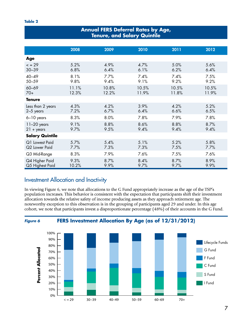#### **Annual FERS Deferral Rates by Age, Tenure, and Salary Quintile**

|                        | 2008  | 2009  | 2010  | 2011  | 2012  |
|------------------------|-------|-------|-------|-------|-------|
| Age                    |       |       |       |       |       |
| $= 29$                 | 5.2%  | 4.9%  | 4.7%  | 5.0%  | 5.6%  |
| $30 - 39$              | 6.8%  | 6.4%  | 6.1%  | 6.2%  | 6.4%  |
| $40 - 49$              | 8.1%  | 7.7%  | 7.4%  | 7.4%  | 7.5%  |
| 50-59                  | 9.8%  | 9.4%  | 9.1%  | 9.2%  | 9.2%  |
| 60-69                  | 11.1% | 10.8% | 10.5% | 10.5% | 10.5% |
| $70+$                  | 12.3% | 12.2% | 11.9% | 11.8% | 11.9% |
| <b>Tenure</b>          |       |       |       |       |       |
| Less than 2 years      | 4.3%  | 4.2%  | 3.9%  | 4.2%  | 5.2%  |
| $2-5$ years            | 7.2%  | 6.7%  | 6.4%  | 6.6%  | 6.5%  |
| 6-10 years             | 8.3%  | 8.0%  | 7.8%  | 7.9%  | 7.8%  |
| $11-20$ years          | 9.1%  | 8.8%  | 8.6%  | 8.8%  | 8.7%  |
| $21 + years$           | 9.7%  | 9.5%  | 9.4%  | 9.4%  | 9.4%  |
| <b>Salary Quintile</b> |       |       |       |       |       |
| Q1 Lowest Paid         | 5.7%  | 5.4%  | 5.1%  | 5.2%  | 5.8%  |
| Q2 Lower Paid          | 7.7%  | 7.3%  | 7.3%  | 7.5%  | 7.7%  |
| Q3 Mid-Range           | 8.3%  | 7.9%  | 7.6%  | 7.5%  | 7.6%  |
| Q4 Higher Paid         | 9.3%  | 8.7%  | 8.4%  | 8.7%  | 8.9%  |
| Q5 Highest Paid        | 10.2% | 9.9%  | 9.7%  | 9.7%  | 9.9%  |

#### Investment Allocation and Inactivity

In viewing Figure 6, we note that allocations to the G Fund appropriately increase as the age of the TSP's population increases. This behavior is consistent with the expectation that participants shift their investment allocation towards the relative safety of income producing assets as they approach retirement age. The noteworthy exception to this observation is in the grouping of participants aged 29 and under. In this age cohort, we note that participants invest a disproportionate percentage (48%) of their accounts in the G Fund.



**FERS Investment Allocation By Age (as of 12/31/2012)**

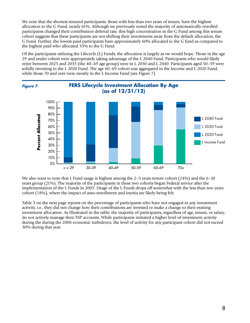We note that the shortest-tenured participants, those with less than two years of tenure, have the highest allocation to the G Fund, nearly 61%. Although we previously noted the majority of automatically enrolled participants changed their contribution deferral rate, this high concentration in the G Fund among this tenure cohort suggests that these participants are not shifting their investments away from the default allocation, the G Fund. Further, the lowest-paid participants have approximately 60% allocated to the G fund as compared to the highest paid who allocated 33% to the G Fund.

Of the participants utilizing the Lifecycle (L) Funds, the allocation is largely as we would hope. Those in the age 29 and under cohort were appropriately taking advantage of the L 2040 Fund. Participants who would likely retire between 2025 and 2035 (the 40–49 age group) were in L 2030 and L 2040. Participants aged 50–59 were solidly investing in the L 2020 Fund. The age 60–69 cohort was aggregated in the Income and L 2020 Fund, while those 70 and over were mostly in the L Income Fund (see Figure 7).



We also want to note that L Fund usage is highest among the 2–5 years tenure cohort (24%) and the 6–10 years group (21%). The majority of the participants in these two cohorts began Federal service after the implementation of the L Funds in 2005. Usage of the L Funds drops off somewhat with the less than two years cohort (18%), where the impact of auto-enrollment and inertia are likely being felt.

Table 3 on the next page reports on the percentage of participants who have not engaged in any investment activity, i.e., they did not change how their contributions are invested or make a change to their existing investment allocation. As illustrated in the table, the majority of participants, regardless of age, tenure, or salary, do not actively manage their TSP accounts. While participants initiated a higher level of investment activity during the during the 2008 economic turbulence, the level of activity for any participant cohort did not exceed 30% during that year.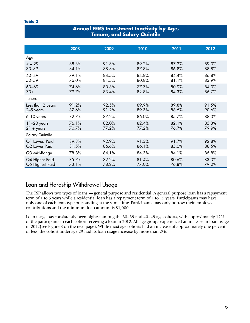|                   |       | Tenure, and Salary Quintile |       |       |       |
|-------------------|-------|-----------------------------|-------|-------|-------|
|                   | 2008  | 2009                        | 2010  | 2011  | 2012  |
| Age               |       |                             |       |       |       |
| $= 29$            | 88.3% | 91.3%                       | 89.2% | 87.2% | 89.0% |
| $30 - 39$         | 84.1% | 88.8%                       | 87.8% | 86.8% | 88.8% |
| $40 - 49$         | 79.1% | 84.5%                       | 84.8% | 84.4% | 86.8% |
| 50-59             | 76.0% | 81.5%                       | 80.8% | 81.1% | 83.9% |
| 60-69             | 74.6% | 80.8%                       | 77.7% | 80.9% | 84.0% |
| $70+$             | 79.7% | 83.4%                       | 82.8% | 84.3% | 86.7% |
| Tenure            |       |                             |       |       |       |
| Less than 2 years | 91.2% | 92.5%                       | 89.9% | 89.8% | 91.5% |
| 2-5 years         | 87.6% | 91.2%                       | 89.3% | 88.6% | 90.6% |
| 6-10 years        | 82.7% | 87.2%                       | 86.0% | 85.7% | 88.3% |
| $11-20$ years     | 76.1% | 82.0%                       | 82.4% | 82.1% | 85.3% |
| $21 + years$      | 70.7% | 77.2%                       | 77.2% | 76.7% | 79.9% |
| Salary Quintile   |       |                             |       |       |       |
| Q1 Lowest Paid    | 89.3% | 92.9%                       | 91.3% | 91.7% | 92.8% |
| Q2 Lower Paid     | 81.5% | 86.6%                       | 86.1% | 85.6% | 88.5% |
| Q3 Mid-Range      | 78.8% | 84.1%                       | 84.3% | 84.1% | 86.8% |
| Q4 Higher Paid    | 75.7% | 82.2%                       | 81.4% | 80.6% | 83.3% |
| Q5 Highest Paid   | 73.1% | 78.2%                       | 77.0% | 76.8% | 79.0% |

**Annual FERS Investment Inactivity by Age,** 

#### Loan and Hardship Withdrawal Usage

The TSP allows two types of loans — general purpose and residential. A general purpose loan has a repayment term of 1 to 5 years while a residential loan has a repayment term of 1 to 15 years. Participants may have only one of each loan type outstanding at the same time. Participants may only borrow their employee contributions and the minimum loan amount is \$1,000.

Loan usage has consistently been highest among the 30–39 and 40–49 age cohorts, with approximately 12% of the participants in each cohort receiving a loan in 2012. All age groups experienced an increase in loan usage in 2012(see Figure 8 on the next page). While most age cohorts had an increase of approximately one percent or less, the cohort under age 29 had its loan usage increase by more than 2%.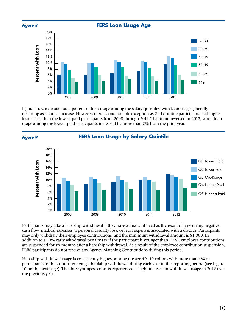

Figure 9 reveals a stair-step pattern of loan usage among the salary quintiles, with loan usage generally declining as salaries increase. However, there is one notable exception as 2nd quintile participants had higher loan usage than the lowest-paid participants from 2008 through 2011. That trend reversed in 2012, when loan usage among the lowest-paid participants increased by more than 2% from the prior year.



Participants may take a hardship withdrawal if they have a financial need as the result of a recurring negative cash flow, medical expenses, a personal casualty loss, or legal expenses associated with a divorce. Participants may only withdraw their employee contributions, and the minimum withdrawal amount is \$1,000. In addition to a 10% early withdrawal penalty tax if the participant is younger than 59 ½, employee contributions are suspended for six months after a hardship withdrawal. As a result of the employee contribution suspension, FERS participants do not receive any Agency Matching Contributions during this period.

Hardship withdrawal usage is consistently highest among the age 40–49 cohort, with more than 4% of participants in this cohort receiving a hardship withdrawal during each year in this reporting period (see Figure 10 on the next page). The three youngest cohorts experienced a slight increase in withdrawal usage in 2012 over the previous year.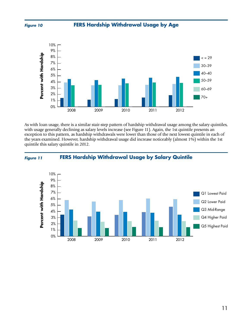

**FERS Hardship Withdrawal Usage by Age**



As with loan usage, there is a similar stair-step pattern of hardship withdrawal usage among the salary quintiles, with usage generally declining as salary levels increase (see Figure 11). Again, the 1st quintile presents an exception to this pattern, as hardship withdrawals were lower than those of the next lowest quintile in each of the years examined. However, hardship withdrawal usage did increase noticeably (almost 1%) within the 1st quintile this salary quintile in 2012.



#### **FERS Hardship Withdrawal Usage by Salary Quintile** *Figure 11*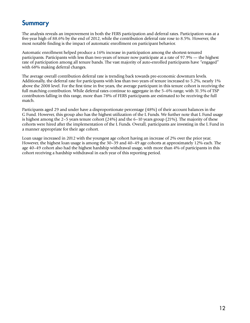### Summary

The analysis reveals an improvement in both the FERS participation and deferral rates. Participation was at a five-year high of 88.6% by the end of 2012, while the contribution deferral rate rose to 8.5%. However, the most notable finding is the impact of automatic enrollment on participant behavior.

Automatic enrollment helped produce a 16% increase in participation among the shortest-tenured participants. Participants with less than two-years of tenure now participate at a rate of 97.9% — the highest rate of participation among all tenure bands. The vast majority of auto-enrolled participants have "engaged" with 68% making deferral changes.

The average overall contribution deferral rate is trending back towards pre-economic downturn levels. Additionally, the deferral rate for participants with less than two years of tenure increased to 5.2%, nearly 1% above the 2008 level. For the first time in five years, the average participant in this tenure cohort is receiving the full matching contribution. While deferral rates continue to aggregate in the 5–6% range, with 31.5% of TSP contributors falling in this range, more than 78% of FERS participants are estimated to be receiving the full match.

Participants aged 29 and under have a disproportionate percentage (48%) of their account balances in the G Fund. However, this group also has the highest utilization of the L Funds. We further note that L Fund usage is highest among the 2–5 years tenure cohort (24%) and the 6–10 years group (21%). The majority of these cohorts were hired after the implementation of the L Funds. Overall, participants are investing in the L Fund in a manner appropriate for their age cohort.

Loan usage increased in 2012 with the youngest age cohort having an increase of 2% over the prior year. However, the highest loan usage is among the 30–39 and 40–49 age cohorts at approximately 12% each. The age 40–49 cohort also had the highest hardship withdrawal usage, with more than 4% of participants in this cohort receiving a hardship withdrawal in each year of this reporting period.